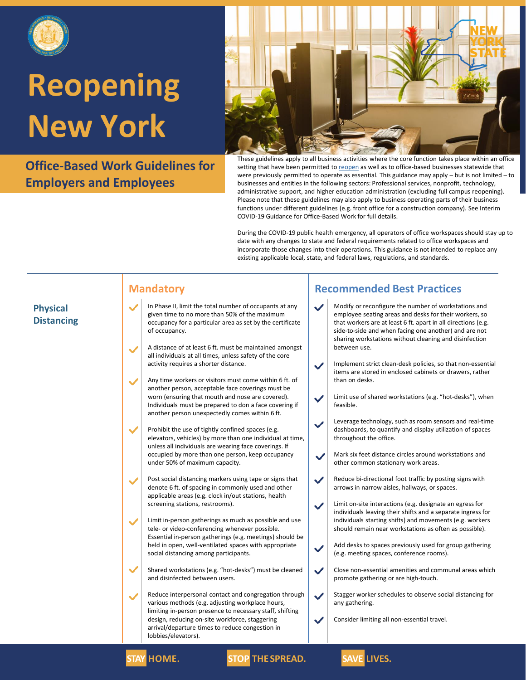

**Office-Based Work Guidelines for Employers and Employees**



These guidelines apply to all business activities where the core function takes place within an office setting that have been permitted to [reopen](https://forward.ny.gov/regional-monitoring-dashboard) as well as to office-based businesses statewide that were previously permitted to operate as essential. This guidance may apply – but is not limited – to businesses and entities in the following sectors: Professional services, nonprofit, technology, administrative support, and higher education administration (excluding full campus reopening). Please note that these guidelines may also apply to business operating parts of their business functions under different guidelines (e.g. front office for a construction company). See Interim COVID-19 Guidance for Office-Based Work for full details.

During the COVID-19 public health emergency, all operators of office workspaces should stay up to date with any changes to state and federal requirements related to office workspaces and incorporate those changes into their operations. This guidance is not intended to replace any existing applicable local, state, and federal laws, regulations, and standards.

|                                      | <b>Mandatory</b>                                                                                                                                                                                                                                                                                                                                                                                                                                                                                                                                                                                                                                                                                                                                                                                                                                                                                                                                                                                                                                                                                                                                                                                                                                                                                                                                                                                                                                                                                                                                                                                                                                                                                                                                                                                                                                   | <b>Recommended Best Practices</b>                                                                                                                                                                                                                                                                                                                                                                                                                                                                                                                                                                                                                                                                                                                                                                                                                                                                                                                                                                                                                                                                                                                                                                                                                                                                                                                                                                                                                                                                                                                                                                                                                                                 |  |
|--------------------------------------|----------------------------------------------------------------------------------------------------------------------------------------------------------------------------------------------------------------------------------------------------------------------------------------------------------------------------------------------------------------------------------------------------------------------------------------------------------------------------------------------------------------------------------------------------------------------------------------------------------------------------------------------------------------------------------------------------------------------------------------------------------------------------------------------------------------------------------------------------------------------------------------------------------------------------------------------------------------------------------------------------------------------------------------------------------------------------------------------------------------------------------------------------------------------------------------------------------------------------------------------------------------------------------------------------------------------------------------------------------------------------------------------------------------------------------------------------------------------------------------------------------------------------------------------------------------------------------------------------------------------------------------------------------------------------------------------------------------------------------------------------------------------------------------------------------------------------------------------------|-----------------------------------------------------------------------------------------------------------------------------------------------------------------------------------------------------------------------------------------------------------------------------------------------------------------------------------------------------------------------------------------------------------------------------------------------------------------------------------------------------------------------------------------------------------------------------------------------------------------------------------------------------------------------------------------------------------------------------------------------------------------------------------------------------------------------------------------------------------------------------------------------------------------------------------------------------------------------------------------------------------------------------------------------------------------------------------------------------------------------------------------------------------------------------------------------------------------------------------------------------------------------------------------------------------------------------------------------------------------------------------------------------------------------------------------------------------------------------------------------------------------------------------------------------------------------------------------------------------------------------------------------------------------------------------|--|
| <b>Physical</b><br><b>Distancing</b> | In Phase II, limit the total number of occupants at any<br>$\checkmark$<br>given time to no more than 50% of the maximum<br>occupancy for a particular area as set by the certificate<br>of occupancy.<br>A distance of at least 6 ft. must be maintained amongst<br>$\checkmark$<br>all individuals at all times, unless safety of the core<br>activity requires a shorter distance.<br>Any time workers or visitors must come within 6 ft. of<br>$\checkmark$<br>another person, acceptable face coverings must be<br>worn (ensuring that mouth and nose are covered).<br>Individuals must be prepared to don a face covering if<br>another person unexpectedly comes within 6 ft.<br>$\checkmark$<br>Prohibit the use of tightly confined spaces (e.g.<br>elevators, vehicles) by more than one individual at time,<br>unless all individuals are wearing face coverings. If<br>occupied by more than one person, keep occupancy<br>under 50% of maximum capacity.<br>Post social distancing markers using tape or signs that<br>$\checkmark$<br>denote 6 ft. of spacing in commonly used and other<br>applicable areas (e.g. clock in/out stations, health<br>screening stations, restrooms).<br>Limit in-person gatherings as much as possible and use<br>$\checkmark$<br>tele- or video-conferencing whenever possible.<br>Essential in-person gatherings (e.g. meetings) should be<br>held in open, well-ventilated spaces with appropriate<br>social distancing among participants.<br>$\checkmark$<br>Shared workstations (e.g. "hot-desks") must be cleaned<br>and disinfected between users.<br>Reduce interpersonal contact and congregation through<br>$\checkmark$<br>various methods (e.g. adjusting workplace hours,<br>limiting in-person presence to necessary staff, shifting<br>design, reducing on-site workforce, staggering | Modify or reconfigure the number of workstations and<br>$\checkmark$<br>employee seating areas and desks for their workers, so<br>that workers are at least 6 ft. apart in all directions (e.g.<br>side-to-side and when facing one another) and are not<br>sharing workstations without cleaning and disinfection<br>between use.<br>Implement strict clean-desk policies, so that non-essential<br>$\checkmark$<br>items are stored in enclosed cabinets or drawers, rather<br>than on desks.<br>Limit use of shared workstations (e.g. "hot-desks"), when<br>$\checkmark$<br>feasible.<br>Leverage technology, such as room sensors and real-time<br>$\checkmark$<br>dashboards, to quantify and display utilization of spaces<br>throughout the office.<br>Mark six feet distance circles around workstations and<br>$\checkmark$<br>other common stationary work areas.<br>$\checkmark$<br>Reduce bi-directional foot traffic by posting signs with<br>arrows in narrow aisles, hallways, or spaces.<br>Limit on-site interactions (e.g. designate an egress for<br>$\checkmark$<br>individuals leaving their shifts and a separate ingress for<br>individuals starting shifts) and movements (e.g. workers<br>should remain near workstations as often as possible).<br>Add desks to spaces previously used for group gathering<br>$\checkmark$<br>(e.g. meeting spaces, conference rooms).<br>Close non-essential amenities and communal areas which<br>$\checkmark$<br>promote gathering or are high-touch.<br>Stagger worker schedules to observe social distancing for<br>$\checkmark$<br>any gathering.<br>$\checkmark$<br>Consider limiting all non-essential travel. |  |
|                                      | arrival/departure times to reduce congestion in<br>lobbies/elevators).                                                                                                                                                                                                                                                                                                                                                                                                                                                                                                                                                                                                                                                                                                                                                                                                                                                                                                                                                                                                                                                                                                                                                                                                                                                                                                                                                                                                                                                                                                                                                                                                                                                                                                                                                                             |                                                                                                                                                                                                                                                                                                                                                                                                                                                                                                                                                                                                                                                                                                                                                                                                                                                                                                                                                                                                                                                                                                                                                                                                                                                                                                                                                                                                                                                                                                                                                                                                                                                                                   |  |
|                                      | <b>STAY HOME.</b><br><b>STOP THE SPREAD.</b>                                                                                                                                                                                                                                                                                                                                                                                                                                                                                                                                                                                                                                                                                                                                                                                                                                                                                                                                                                                                                                                                                                                                                                                                                                                                                                                                                                                                                                                                                                                                                                                                                                                                                                                                                                                                       | <b>SAVE LIVES.</b>                                                                                                                                                                                                                                                                                                                                                                                                                                                                                                                                                                                                                                                                                                                                                                                                                                                                                                                                                                                                                                                                                                                                                                                                                                                                                                                                                                                                                                                                                                                                                                                                                                                                |  |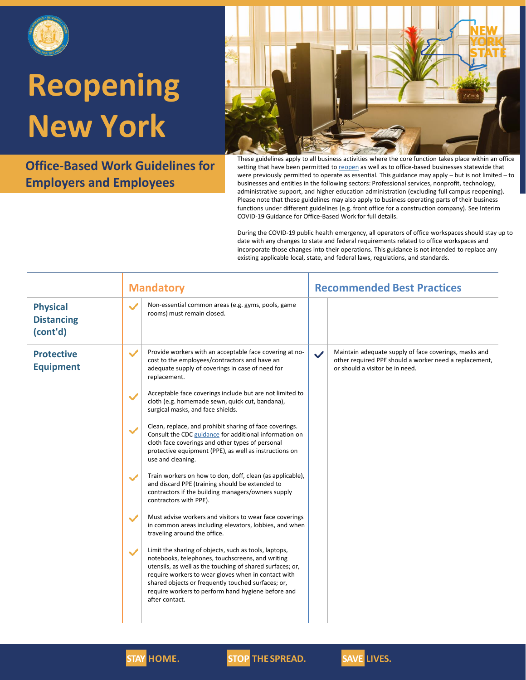

**Office-Based Work Guidelines for Employers and Employees**



These guidelines apply to all business activities where the core function takes place within an office setting that have been permitted to [reopen](https://forward.ny.gov/regional-monitoring-dashboard) as well as to office-based businesses statewide that were previously permitted to operate as essential. This guidance may apply – but is not limited – to businesses and entities in the following sectors: Professional services, nonprofit, technology, administrative support, and higher education administration (excluding full campus reopening). Please note that these guidelines may also apply to business operating parts of their business functions under different guidelines (e.g. front office for a construction company). See Interim COVID-19 Guidance for Office-Based Work for full details.

During the COVID-19 public health emergency, all operators of office workspaces should stay up to date with any changes to state and federal requirements related to office workspaces and incorporate those changes into their operations. This guidance is not intended to replace any existing applicable local, state, and federal laws, regulations, and standards.

|                                                  | <b>Mandatory</b> |                                                                                                                                                                                                                                                                                                                                                             | <b>Recommended Best Practices</b> |                                                                                                                                                    |
|--------------------------------------------------|------------------|-------------------------------------------------------------------------------------------------------------------------------------------------------------------------------------------------------------------------------------------------------------------------------------------------------------------------------------------------------------|-----------------------------------|----------------------------------------------------------------------------------------------------------------------------------------------------|
| <b>Physical</b><br><b>Distancing</b><br>(cont'd) | $\checkmark$     | Non-essential common areas (e.g. gyms, pools, game<br>rooms) must remain closed.                                                                                                                                                                                                                                                                            |                                   |                                                                                                                                                    |
| <b>Protective</b><br><b>Equipment</b>            | $\checkmark$     | Provide workers with an acceptable face covering at no-<br>cost to the employees/contractors and have an<br>adequate supply of coverings in case of need for<br>replacement.<br>Acceptable face coverings include but are not limited to                                                                                                                    | $\checkmark$                      | Maintain adequate supply of face coverings, masks and<br>other required PPE should a worker need a replacement,<br>or should a visitor be in need. |
|                                                  | $\checkmark$     | cloth (e.g. homemade sewn, quick cut, bandana),<br>surgical masks, and face shields.                                                                                                                                                                                                                                                                        |                                   |                                                                                                                                                    |
|                                                  | $\checkmark$     | Clean, replace, and prohibit sharing of face coverings.<br>Consult the CDC guidance for additional information on<br>cloth face coverings and other types of personal<br>protective equipment (PPE), as well as instructions on<br>use and cleaning.                                                                                                        |                                   |                                                                                                                                                    |
|                                                  |                  | Train workers on how to don, doff, clean (as applicable),<br>and discard PPE (training should be extended to<br>contractors if the building managers/owners supply<br>contractors with PPE).                                                                                                                                                                |                                   |                                                                                                                                                    |
|                                                  | $\checkmark$     | Must advise workers and visitors to wear face coverings<br>in common areas including elevators, lobbies, and when<br>traveling around the office.                                                                                                                                                                                                           |                                   |                                                                                                                                                    |
|                                                  | $\checkmark$     | Limit the sharing of objects, such as tools, laptops,<br>notebooks, telephones, touchscreens, and writing<br>utensils, as well as the touching of shared surfaces; or,<br>require workers to wear gloves when in contact with<br>shared objects or frequently touched surfaces; or,<br>require workers to perform hand hygiene before and<br>after contact. |                                   |                                                                                                                                                    |



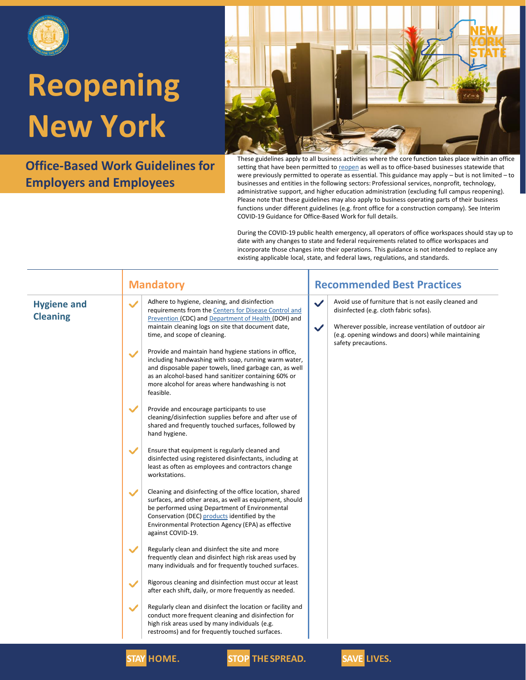

**Office-Based Work Guidelines for Employers and Employees**



These guidelines apply to all business activities where the core function takes place within an office setting that have been permitted to [reopen](https://forward.ny.gov/regional-monitoring-dashboard) as well as to office-based businesses statewide that were previously permitted to operate as essential. This guidance may apply – but is not limited – to businesses and entities in the following sectors: Professional services, nonprofit, technology, administrative support, and higher education administration (excluding full campus reopening). Please note that these guidelines may also apply to business operating parts of their business functions under different guidelines (e.g. front office for a construction company). See Interim COVID-19 Guidance for Office-Based Work for full details.

During the COVID-19 public health emergency, all operators of office workspaces should stay up to date with any changes to state and federal requirements related to office workspaces and incorporate those changes into their operations. This guidance is not intended to replace any existing applicable local, state, and federal laws, regulations, and standards.

| <b>Hygiene and</b><br><b>Cleaning</b> | Adhere to hygiene, cleaning, and disinfection<br>$\checkmark$<br>requirements from the Centers for Disease Control and<br>Prevention (CDC) and Department of Health (DOH) and<br>maintain cleaning logs on site that document date,<br>time, and scope of cleaning.<br>Provide and maintain hand hygiene stations in office,<br>$\checkmark$<br>including handwashing with soap, running warm water,<br>and disposable paper towels, lined garbage can, as well | Avoid use of furniture that is not easily cleaned and<br>$\checkmark$<br>disinfected (e.g. cloth fabric sofas).<br>Wherever possible, increase ventilation of outdoor air<br>$\checkmark$<br>(e.g. opening windows and doors) while maintaining<br>safety precautions. |
|---------------------------------------|-----------------------------------------------------------------------------------------------------------------------------------------------------------------------------------------------------------------------------------------------------------------------------------------------------------------------------------------------------------------------------------------------------------------------------------------------------------------|------------------------------------------------------------------------------------------------------------------------------------------------------------------------------------------------------------------------------------------------------------------------|
|                                       |                                                                                                                                                                                                                                                                                                                                                                                                                                                                 |                                                                                                                                                                                                                                                                        |
|                                       | as an alcohol-based hand sanitizer containing 60% or<br>more alcohol for areas where handwashing is not<br>feasible.                                                                                                                                                                                                                                                                                                                                            |                                                                                                                                                                                                                                                                        |
|                                       | $\checkmark$<br>Provide and encourage participants to use<br>cleaning/disinfection supplies before and after use of<br>shared and frequently touched surfaces, followed by<br>hand hygiene.                                                                                                                                                                                                                                                                     |                                                                                                                                                                                                                                                                        |
|                                       | $\checkmark$<br>Ensure that equipment is regularly cleaned and<br>disinfected using registered disinfectants, including at<br>least as often as employees and contractors change<br>workstations.                                                                                                                                                                                                                                                               |                                                                                                                                                                                                                                                                        |
|                                       | Cleaning and disinfecting of the office location, shared<br>$\checkmark$<br>surfaces, and other areas, as well as equipment, should<br>be performed using Department of Environmental<br>Conservation (DEC) products identified by the<br>Environmental Protection Agency (EPA) as effective<br>against COVID-19.                                                                                                                                               |                                                                                                                                                                                                                                                                        |
|                                       | $\checkmark$<br>Regularly clean and disinfect the site and more<br>frequently clean and disinfect high risk areas used by<br>many individuals and for frequently touched surfaces.                                                                                                                                                                                                                                                                              |                                                                                                                                                                                                                                                                        |
|                                       | Rigorous cleaning and disinfection must occur at least<br>$\checkmark$<br>after each shift, daily, or more frequently as needed.                                                                                                                                                                                                                                                                                                                                |                                                                                                                                                                                                                                                                        |
|                                       | Regularly clean and disinfect the location or facility and<br>$\checkmark$<br>conduct more frequent cleaning and disinfection for<br>high risk areas used by many individuals (e.g.<br>restrooms) and for frequently touched surfaces.                                                                                                                                                                                                                          |                                                                                                                                                                                                                                                                        |

**STAY HOME. STOP THESPREAD. SAVE LIVES.**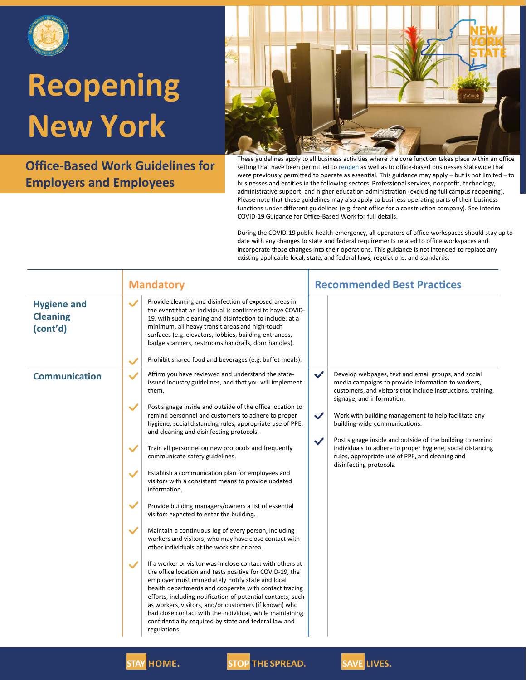

**Office-Based Work Guidelines for Employers and Employees**



These guidelines apply to all business activities where the core function takes place within an office setting that have been permitted to [reopen](https://forward.ny.gov/regional-monitoring-dashboard) as well as to office-based businesses statewide that were previously permitted to operate as essential. This guidance may apply – but is not limited – to businesses and entities in the following sectors: Professional services, nonprofit, technology, administrative support, and higher education administration (excluding full campus reopening). Please note that these guidelines may also apply to business operating parts of their business functions under different guidelines (e.g. front office for a construction company). See Interim COVID-19 Guidance for Office-Based Work for full details.

During the COVID-19 public health emergency, all operators of office workspaces should stay up to date with any changes to state and federal requirements related to office workspaces and incorporate those changes into their operations. This guidance is not intended to replace any existing applicable local, state, and federal laws, regulations, and standards.

|                                                   | <b>Mandatory</b>                                                                                                                                                                                                                                                                                                                                                                                                                                                                                                 | <b>Recommended Best Practices</b>                                                                                                                                                                                     |  |
|---------------------------------------------------|------------------------------------------------------------------------------------------------------------------------------------------------------------------------------------------------------------------------------------------------------------------------------------------------------------------------------------------------------------------------------------------------------------------------------------------------------------------------------------------------------------------|-----------------------------------------------------------------------------------------------------------------------------------------------------------------------------------------------------------------------|--|
| <b>Hygiene and</b><br><b>Cleaning</b><br>(cont'd) | Provide cleaning and disinfection of exposed areas in<br>$\checkmark$<br>the event that an individual is confirmed to have COVID-<br>19, with such cleaning and disinfection to include, at a<br>minimum, all heavy transit areas and high-touch<br>surfaces (e.g. elevators, lobbies, building entrances,<br>badge scanners, restrooms handrails, door handles).                                                                                                                                                |                                                                                                                                                                                                                       |  |
|                                                   | Prohibit shared food and beverages (e.g. buffet meals).<br>$\checkmark$                                                                                                                                                                                                                                                                                                                                                                                                                                          |                                                                                                                                                                                                                       |  |
| <b>Communication</b>                              | Affirm you have reviewed and understand the state-<br>$\checkmark$<br>issued industry guidelines, and that you will implement<br>them.                                                                                                                                                                                                                                                                                                                                                                           | $\checkmark$<br>Develop webpages, text and email groups, and social<br>media campaigns to provide information to workers,<br>customers, and visitors that include instructions, training,                             |  |
|                                                   | $\checkmark$<br>Post signage inside and outside of the office location to<br>remind personnel and customers to adhere to proper<br>hygiene, social distancing rules, appropriate use of PPE,<br>and cleaning and disinfecting protocols.                                                                                                                                                                                                                                                                         | signage, and information.<br>$\checkmark$<br>Work with building management to help facilitate any<br>building-wide communications.                                                                                    |  |
|                                                   | $\checkmark$<br>Train all personnel on new protocols and frequently<br>communicate safety guidelines.                                                                                                                                                                                                                                                                                                                                                                                                            | Post signage inside and outside of the building to remind<br>$\checkmark$<br>individuals to adhere to proper hygiene, social distancing<br>rules, appropriate use of PPE, and cleaning and<br>disinfecting protocols. |  |
|                                                   | Establish a communication plan for employees and<br>$\checkmark$<br>visitors with a consistent means to provide updated<br>information.                                                                                                                                                                                                                                                                                                                                                                          |                                                                                                                                                                                                                       |  |
|                                                   | $\checkmark$<br>Provide building managers/owners a list of essential<br>visitors expected to enter the building.                                                                                                                                                                                                                                                                                                                                                                                                 |                                                                                                                                                                                                                       |  |
|                                                   | $\checkmark$<br>Maintain a continuous log of every person, including<br>workers and visitors, who may have close contact with<br>other individuals at the work site or area.                                                                                                                                                                                                                                                                                                                                     |                                                                                                                                                                                                                       |  |
|                                                   | If a worker or visitor was in close contact with others at<br>$\checkmark$<br>the office location and tests positive for COVID-19, the<br>employer must immediately notify state and local<br>health departments and cooperate with contact tracing<br>efforts, including notification of potential contacts, such<br>as workers, visitors, and/or customers (if known) who<br>had close contact with the individual, while maintaining<br>confidentiality required by state and federal law and<br>regulations. |                                                                                                                                                                                                                       |  |



**STAY HOME. STOP THESPREAD. SAVE LIVES.**

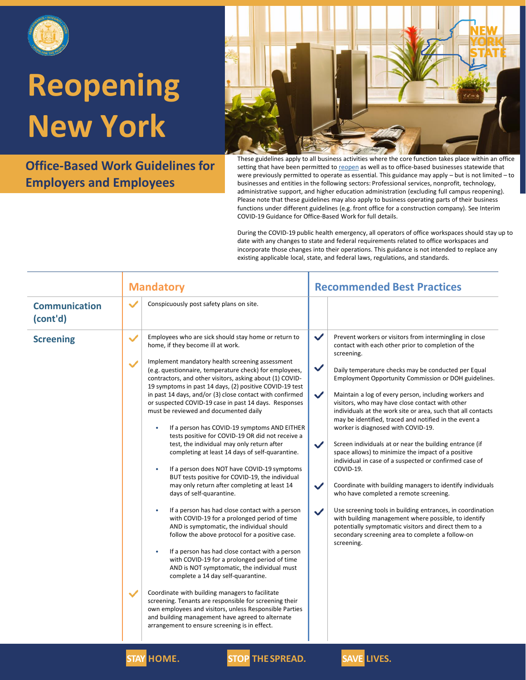

**Office-Based Work Guidelines for Employers and Employees**



These guidelines apply to all business activities where the core function takes place within an office setting that have been permitted to [reopen](https://forward.ny.gov/regional-monitoring-dashboard) as well as to office-based businesses statewide that were previously permitted to operate as essential. This guidance may apply – but is not limited – to businesses and entities in the following sectors: Professional services, nonprofit, technology, administrative support, and higher education administration (excluding full campus reopening). Please note that these guidelines may also apply to business operating parts of their business functions under different guidelines (e.g. front office for a construction company). See Interim COVID-19 Guidance for Office-Based Work for full details.

During the COVID-19 public health emergency, all operators of office workspaces should stay up to date with any changes to state and federal requirements related to office workspaces and incorporate those changes into their operations. This guidance is not intended to replace any existing applicable local, state, and federal laws, regulations, and standards.

|                                  | <b>Mandatory</b>                                                                                                                                                                                                                                                                                                                                                                                                                                                                                                                                                                                                                                                                                                                                                                                                                                                                                                                                                                                                                                                                                                                                                                                                                                                                                                                                                                                                                                                                                                                                                                                                                         | <b>Recommended Best Practices</b>                                                                                                                                                                                                                                                                                                                                                                                                                                                                                                                                                                                                                                                                                                                                                                                                                                                                                                                                                                                                                                                                                                                                     |  |
|----------------------------------|------------------------------------------------------------------------------------------------------------------------------------------------------------------------------------------------------------------------------------------------------------------------------------------------------------------------------------------------------------------------------------------------------------------------------------------------------------------------------------------------------------------------------------------------------------------------------------------------------------------------------------------------------------------------------------------------------------------------------------------------------------------------------------------------------------------------------------------------------------------------------------------------------------------------------------------------------------------------------------------------------------------------------------------------------------------------------------------------------------------------------------------------------------------------------------------------------------------------------------------------------------------------------------------------------------------------------------------------------------------------------------------------------------------------------------------------------------------------------------------------------------------------------------------------------------------------------------------------------------------------------------------|-----------------------------------------------------------------------------------------------------------------------------------------------------------------------------------------------------------------------------------------------------------------------------------------------------------------------------------------------------------------------------------------------------------------------------------------------------------------------------------------------------------------------------------------------------------------------------------------------------------------------------------------------------------------------------------------------------------------------------------------------------------------------------------------------------------------------------------------------------------------------------------------------------------------------------------------------------------------------------------------------------------------------------------------------------------------------------------------------------------------------------------------------------------------------|--|
| <b>Communication</b><br>(cont'd) | Conspicuously post safety plans on site.<br>$\checkmark$                                                                                                                                                                                                                                                                                                                                                                                                                                                                                                                                                                                                                                                                                                                                                                                                                                                                                                                                                                                                                                                                                                                                                                                                                                                                                                                                                                                                                                                                                                                                                                                 |                                                                                                                                                                                                                                                                                                                                                                                                                                                                                                                                                                                                                                                                                                                                                                                                                                                                                                                                                                                                                                                                                                                                                                       |  |
| <b>Screening</b>                 | $\checkmark$<br>Employees who are sick should stay home or return to<br>home, if they become ill at work.<br>Implement mandatory health screening assessment<br>$\checkmark$<br>(e.g. questionnaire, temperature check) for employees,<br>contractors, and other visitors, asking about (1) COVID-<br>19 symptoms in past 14 days, (2) positive COVID-19 test<br>in past 14 days, and/or (3) close contact with confirmed<br>or suspected COVID-19 case in past 14 days. Responses<br>must be reviewed and documented daily<br>If a person has COVID-19 symptoms AND EITHER<br>٠<br>tests positive for COVID-19 OR did not receive a<br>test, the individual may only return after<br>completing at least 14 days of self-quarantine.<br>If a person does NOT have COVID-19 symptoms<br>$\bullet$<br>BUT tests positive for COVID-19, the individual<br>may only return after completing at least 14<br>days of self-quarantine.<br>If a person has had close contact with a person<br>$\bullet$<br>with COVID-19 for a prolonged period of time<br>AND is symptomatic, the individual should<br>follow the above protocol for a positive case.<br>If a person has had close contact with a person<br>۰<br>with COVID-19 for a prolonged period of time<br>AND is NOT symptomatic, the individual must<br>complete a 14 day self-quarantine.<br>Coordinate with building managers to facilitate<br>$\checkmark$<br>screening. Tenants are responsible for screening their<br>own employees and visitors, unless Responsible Parties<br>and building management have agreed to alternate<br>arrangement to ensure screening is in effect. | $\checkmark$<br>Prevent workers or visitors from intermingling in close<br>contact with each other prior to completion of the<br>screening.<br>$\checkmark$<br>Daily temperature checks may be conducted per Equal<br>Employment Opportunity Commission or DOH guidelines.<br>$\checkmark$<br>Maintain a log of every person, including workers and<br>visitors, who may have close contact with other<br>individuals at the work site or area, such that all contacts<br>may be identified, traced and notified in the event a<br>worker is diagnosed with COVID-19.<br>$\checkmark$<br>Screen individuals at or near the building entrance (if<br>space allows) to minimize the impact of a positive<br>individual in case of a suspected or confirmed case of<br>COVID-19.<br>Coordinate with building managers to identify individuals<br>$\checkmark$<br>who have completed a remote screening.<br>Use screening tools in building entrances, in coordination<br>$\checkmark$<br>with building management where possible, to identify<br>potentially symptomatic visitors and direct them to a<br>secondary screening area to complete a follow-on<br>screening. |  |

**STAY HOME. STOP THESPREAD. SAVE LIVES.**